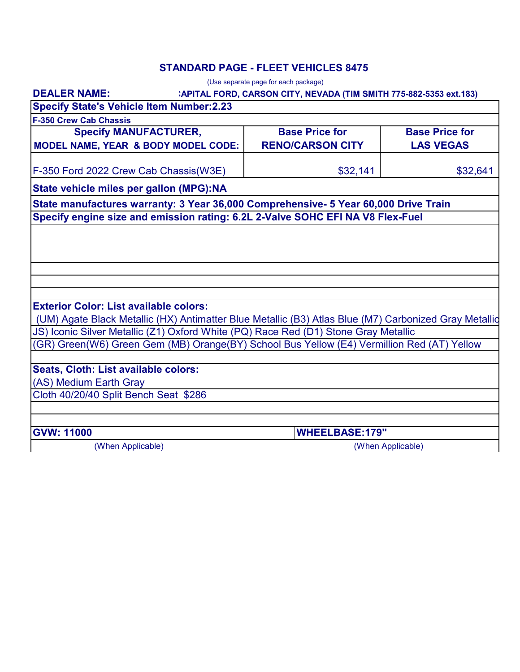### **STANDARD PAGE - FLEET VEHICLES 8475**

|                                                                                                       | (Use separate page for each package)                               |                       |  |  |  |  |
|-------------------------------------------------------------------------------------------------------|--------------------------------------------------------------------|-----------------------|--|--|--|--|
| <b>DEALER NAME:</b>                                                                                   | :APITAL FORD, CARSON CITY, NEVADA (TIM SMITH 775-882-5353 ext.183) |                       |  |  |  |  |
| <b>Specify State's Vehicle Item Number:2.23</b>                                                       |                                                                    |                       |  |  |  |  |
| <b>F-350 Crew Cab Chassis</b>                                                                         |                                                                    |                       |  |  |  |  |
| <b>Specify MANUFACTURER,</b>                                                                          | <b>Base Price for</b>                                              | <b>Base Price for</b> |  |  |  |  |
| <b>MODEL NAME, YEAR &amp; BODY MODEL CODE:</b>                                                        | <b>RENO/CARSON CITY</b>                                            | <b>LAS VEGAS</b>      |  |  |  |  |
| F-350 Ford 2022 Crew Cab Chassis(W3E)                                                                 | \$32,141                                                           | \$32,641              |  |  |  |  |
| State vehicle miles per gallon (MPG):NA                                                               |                                                                    |                       |  |  |  |  |
| State manufactures warranty: 3 Year 36,000 Comprehensive- 5 Year 60,000 Drive Train                   |                                                                    |                       |  |  |  |  |
| Specify engine size and emission rating: 6.2L 2-Valve SOHC EFI NA V8 Flex-Fuel                        |                                                                    |                       |  |  |  |  |
|                                                                                                       |                                                                    |                       |  |  |  |  |
|                                                                                                       |                                                                    |                       |  |  |  |  |
|                                                                                                       |                                                                    |                       |  |  |  |  |
|                                                                                                       |                                                                    |                       |  |  |  |  |
|                                                                                                       |                                                                    |                       |  |  |  |  |
| <b>Exterior Color: List available colors:</b>                                                         |                                                                    |                       |  |  |  |  |
| (UM) Agate Black Metallic (HX) Antimatter Blue Metallic (B3) Atlas Blue (M7) Carbonized Gray Metallid |                                                                    |                       |  |  |  |  |
| JS) Iconic Silver Metallic (Z1) Oxford White (PQ) Race Red (D1) Stone Gray Metallic                   |                                                                    |                       |  |  |  |  |
| (GR) Green(W6) Green Gem (MB) Orange(BY) School Bus Yellow (E4) Vermillion Red (AT) Yellow            |                                                                    |                       |  |  |  |  |
|                                                                                                       |                                                                    |                       |  |  |  |  |
| Seats, Cloth: List available colors:                                                                  |                                                                    |                       |  |  |  |  |
| (AS) Medium Earth Gray                                                                                |                                                                    |                       |  |  |  |  |
| Cloth 40/20/40 Split Bench Seat \$286                                                                 |                                                                    |                       |  |  |  |  |
|                                                                                                       |                                                                    |                       |  |  |  |  |
| <b>GVW: 11000</b>                                                                                     | <b>WHEELBASE:179"</b>                                              |                       |  |  |  |  |
| (When Applicable)                                                                                     |                                                                    | (When Applicable)     |  |  |  |  |

(When Applicable)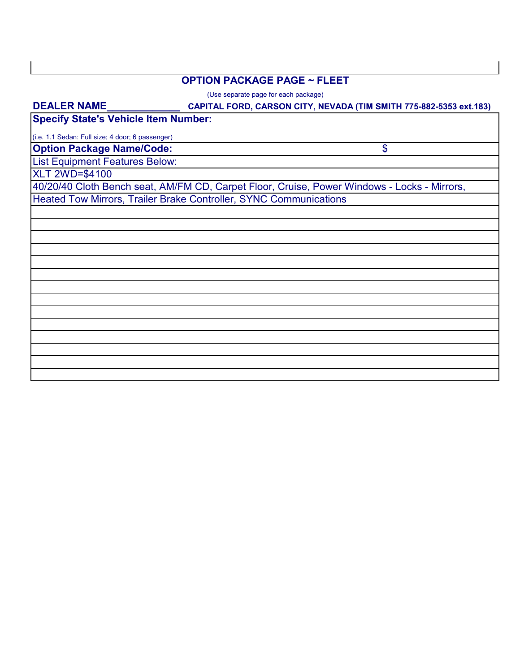#### **OPTION PACKAGE PAGE ~ FLEET**

(Use separate page for each package)

# **CAPITAL FORD, CARSON CITY, NEVADA (TIM SMITH 775-882-5353 ext.183) Option Package Name/Code:** List Equipment Features Below: 40/20/40 Cloth Bench seat, AM/FM CD, Carpet Floor, Cruise, Power Windows - Locks - Mirrors, Heated Tow Mirrors, Trailer Brake Controller, SYNC Communications XLT 2WD=\$4100 **DEALER NAME\_\_\_\_\_\_\_\_\_\_\_\_\_** \$ (i.e. 1.1 Sedan: Full size; 4 door; 6 passenger) **Specify State's Vehicle Item Number:**